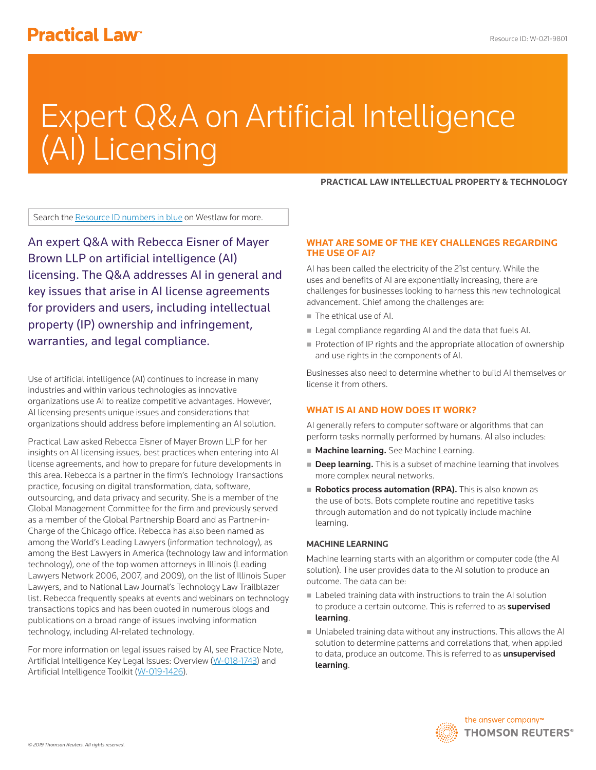## **Practical Law<sup>®</sup>**

# Expert Q&A on Artificial Intelligence (AI) Licensing

**PRACTICAL LAW INTELLECTUAL PROPERTY & TECHNOLOGY**

Search the Resource ID numbers in blue on Westlaw for more.

An expert Q&A with Rebecca Eisner of Mayer Brown LLP on artificial intelligence (AI) licensing. The Q&A addresses AI in general and key issues that arise in AI license agreements for providers and users, including intellectual property (IP) ownership and infringement, warranties, and legal compliance.

Use of artificial intelligence (AI) continues to increase in many industries and within various technologies as innovative organizations use AI to realize competitive advantages. However, AI licensing presents unique issues and considerations that organizations should address before implementing an AI solution.

Practical Law asked Rebecca Eisner of Mayer Brown LLP for her insights on AI licensing issues, best practices when entering into AI license agreements, and how to prepare for future developments in this area. Rebecca is a partner in the firm's Technology Transactions practice, focusing on digital transformation, data, software, outsourcing, and data privacy and security. She is a member of the Global Management Committee for the firm and previously served as a member of the Global Partnership Board and as Partner-in-Charge of the Chicago office. Rebecca has also been named as among the World's Leading Lawyers (information technology), as among the Best Lawyers in America (technology law and information technology), one of the top women attorneys in Illinois (Leading Lawyers Network 2006, 2007, and 2009), on the list of Illinois Super Lawyers, and to National Law Journal's Technology Law Trailblazer list. Rebecca frequently speaks at events and webinars on technology transactions topics and has been quoted in numerous blogs and publications on a broad range of issues involving information technology, including AI-related technology.

For more information on legal issues raised by AI, see Practice Note, Artificial Intelligence Key Legal Issues: Overview (W-018-1743) and Artificial Intelligence Toolkit (W-019-1426).

#### **WHAT ARE SOME OF THE KEY CHALLENGES REGARDING THE USE OF AI?**

AI has been called the electricity of the 21st century. While the uses and benefits of AI are exponentially increasing, there are challenges for businesses looking to harness this new technological advancement. Chief among the challenges are:

- The ethical use of AI.
- Legal compliance regarding AI and the data that fuels AI.
- Protection of IP rights and the appropriate allocation of ownership and use rights in the components of AI.

Businesses also need to determine whether to build AI themselves or license it from others.

#### **WHAT IS AI AND HOW DOES IT WORK?**

AI generally refers to computer software or algorithms that can perform tasks normally performed by humans. AI also includes:

- **Machine learning.** See Machine Learning.
- **Deep learning.** This is a subset of machine learning that involves more complex neural networks.
- Robotics process automation (RPA). This is also known as the use of bots. Bots complete routine and repetitive tasks through automation and do not typically include machine learning.

#### **MACHINE LEARNING**

Machine learning starts with an algorithm or computer code (the AI solution). The user provides data to the AI solution to produce an outcome. The data can be:

- Labeled training data with instructions to train the AI solution to produce a certain outcome. This is referred to as **supervised** learning.
- Unlabeled training data without any instructions. This allows the AI solution to determine patterns and correlations that, when applied to data, produce an outcome. This is referred to as **unsupervised** learning.

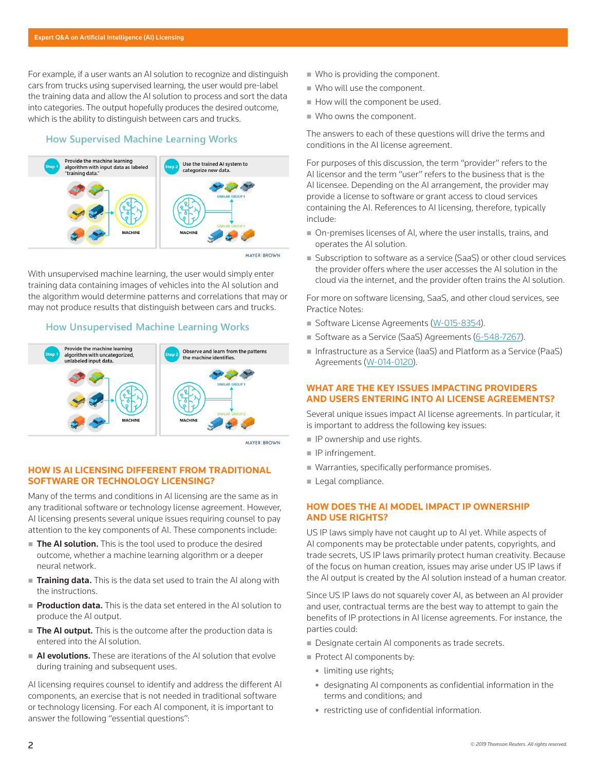For example, if a user wants an AI solution to recognize and distinguish cars from trucks using supervised learning, the user would pre-label the training data and allow the AI solution to process and sort the data into categories. The output hopefully produces the desired outcome, which is the ability to distinguish between cars and trucks.

#### **How Supervised Machine Learning Works**



With unsupervised machine learning, the user would simply enter training data containing images of vehicles into the AI solution and the algorithm would determine patterns and correlations that may or may not produce results that distinguish between cars and trucks.

#### **How Unsupervised Machine Learning Works**



**MAYER BROWN** 

#### **HOW IS AI LICENSING DIFFERENT FROM TRADITIONAL SOFTWARE OR TECHNOLOGY LICENSING?**

Many of the terms and conditions in AI licensing are the same as in any traditional software or technology license agreement. However, AI licensing presents several unique issues requiring counsel to pay attention to the key components of AI. These components include:

- The AI solution. This is the tool used to produce the desired outcome, whether a machine learning algorithm or a deeper neural network.
- **Training data.** This is the data set used to train the AI along with the instructions.
- Production data. This is the data set entered in the AI solution to produce the AI output.
- The AI output. This is the outcome after the production data is entered into the AI solution.
- AI evolutions. These are iterations of the AI solution that evolve during training and subsequent uses.

AI licensing requires counsel to identify and address the different AI components, an exercise that is not needed in traditional software or technology licensing. For each AI component, it is important to answer the following "essential questions":

- Who is providing the component.
- Who will use the component.
- How will the component be used.
- Who owns the component.

The answers to each of these questions will drive the terms and conditions in the AI license agreement.

For purposes of this discussion, the term "provider" refers to the AI licensor and the term "user" refers to the business that is the AI licensee. Depending on the AI arrangement, the provider may provide a license to software or grant access to cloud services containing the AI. References to AI licensing, therefore, typically include:

- On-premises licenses of AI, where the user installs, trains, and operates the AI solution.
- Subscription to software as a service (SaaS) or other cloud services the provider offers where the user accesses the AI solution in the cloud via the internet, and the provider often trains the AI solution.

For more on software licensing, SaaS, and other cloud services, see Practice Notes:

- Software License Agreements (W-015-8354).
- Software as a Service (SaaS) Agreements (6-548-7267).
- Infrastructure as a Service (IaaS) and Platform as a Service (PaaS) Agreements (W-014-0120).

#### **WHAT ARE THE KEY ISSUES IMPACTING PROVIDERS AND USERS ENTERING INTO AI LICENSE AGREEMENTS?**

Several unique issues impact AI license agreements. In particular, it is important to address the following key issues:

- **IP** ownership and use rights.
- **IP** infringement.
- Warranties, specifically performance promises.
- Legal compliance.

#### **HOW DOES THE AI MODEL IMPACT IP OWNERSHIP AND USE RIGHTS?**

US IP laws simply have not caught up to AI yet. While aspects of AI components may be protectable under patents, copyrights, and trade secrets, US IP laws primarily protect human creativity. Because of the focus on human creation, issues may arise under US IP laws if the AI output is created by the AI solution instead of a human creator.

Since US IP laws do not squarely cover AI, as between an AI provider and user, contractual terms are the best way to attempt to gain the benefits of IP protections in AI license agreements. For instance, the parties could:

- Designate certain AI components as trade secrets.
- Protect AI components by:
	- limiting use rights;
	- designating AI components as confidential information in the terms and conditions; and
	- restricting use of confidential information.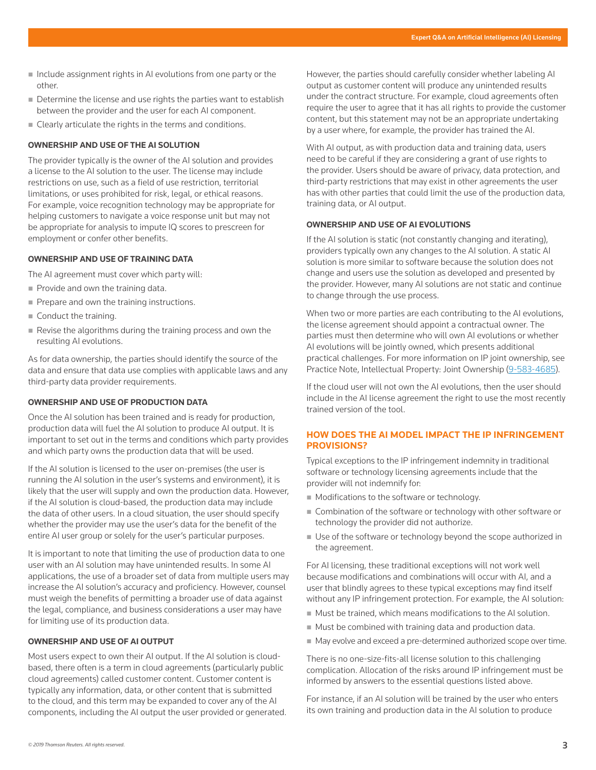- $\blacksquare$  Include assignment rights in AI evolutions from one party or the other.
- Determine the license and use rights the parties want to establish between the provider and the user for each AI component.
- Clearly articulate the rights in the terms and conditions.

#### **OWNERSHIP AND USE OF THE AI SOLUTION**

The provider typically is the owner of the AI solution and provides a license to the AI solution to the user. The license may include restrictions on use, such as a field of use restriction, territorial limitations, or uses prohibited for risk, legal, or ethical reasons. For example, voice recognition technology may be appropriate for helping customers to navigate a voice response unit but may not be appropriate for analysis to impute IQ scores to prescreen for employment or confer other benefits.

#### **OWNERSHIP AND USE OF TRAINING DATA**

The AI agreement must cover which party will:

- Provide and own the training data.
- Prepare and own the training instructions.
- Conduct the training.
- Revise the algorithms during the training process and own the resulting AI evolutions.

As for data ownership, the parties should identify the source of the data and ensure that data use complies with applicable laws and any third-party data provider requirements.

#### **OWNERSHIP AND USE OF PRODUCTION DATA**

Once the AI solution has been trained and is ready for production, production data will fuel the AI solution to produce AI output. It is important to set out in the terms and conditions which party provides and which party owns the production data that will be used.

If the AI solution is licensed to the user on-premises (the user is running the AI solution in the user's systems and environment), it is likely that the user will supply and own the production data. However, if the AI solution is cloud-based, the production data may include the data of other users. In a cloud situation, the user should specify whether the provider may use the user's data for the benefit of the entire AI user group or solely for the user's particular purposes.

It is important to note that limiting the use of production data to one user with an AI solution may have unintended results. In some AI applications, the use of a broader set of data from multiple users may increase the AI solution's accuracy and proficiency. However, counsel must weigh the benefits of permitting a broader use of data against the legal, compliance, and business considerations a user may have for limiting use of its production data.

#### **OWNERSHIP AND USE OF AI OUTPUT**

Most users expect to own their AI output. If the AI solution is cloudbased, there often is a term in cloud agreements (particularly public cloud agreements) called customer content. Customer content is typically any information, data, or other content that is submitted to the cloud, and this term may be expanded to cover any of the AI components, including the AI output the user provided or generated. However, the parties should carefully consider whether labeling AI output as customer content will produce any unintended results under the contract structure. For example, cloud agreements often require the user to agree that it has all rights to provide the customer content, but this statement may not be an appropriate undertaking by a user where, for example, the provider has trained the AI.

With AI output, as with production data and training data, users need to be careful if they are considering a grant of use rights to the provider. Users should be aware of privacy, data protection, and third-party restrictions that may exist in other agreements the user has with other parties that could limit the use of the production data, training data, or AI output.

#### **OWNERSHIP AND USE OF AI EVOLUTIONS**

If the AI solution is static (not constantly changing and iterating), providers typically own any changes to the AI solution. A static AI solution is more similar to software because the solution does not change and users use the solution as developed and presented by the provider. However, many AI solutions are not static and continue to change through the use process.

When two or more parties are each contributing to the AI evolutions, the license agreement should appoint a contractual owner. The parties must then determine who will own AI evolutions or whether AI evolutions will be jointly owned, which presents additional practical challenges. For more information on IP joint ownership, see Practice Note, Intellectual Property: Joint Ownership (9-583-4685).

If the cloud user will not own the AI evolutions, then the user should include in the AI license agreement the right to use the most recently trained version of the tool.

#### **HOW DOES THE AI MODEL IMPACT THE IP INFRINGEMENT PROVISIONS?**

Typical exceptions to the IP infringement indemnity in traditional software or technology licensing agreements include that the provider will not indemnify for:

- **Modifications to the software or technology.**
- Combination of the software or technology with other software or technology the provider did not authorize.
- Use of the software or technology beyond the scope authorized in the agreement.

For AI licensing, these traditional exceptions will not work well because modifications and combinations will occur with AI, and a user that blindly agrees to these typical exceptions may find itself without any IP infringement protection. For example, the AI solution:

- Must be trained, which means modifications to the AI solution.
- $\blacksquare$  Must be combined with training data and production data.
- May evolve and exceed a pre-determined authorized scope over time.

There is no one-size-fits-all license solution to this challenging complication. Allocation of the risks around IP infringement must be informed by answers to the essential questions listed above.

For instance, if an AI solution will be trained by the user who enters its own training and production data in the AI solution to produce